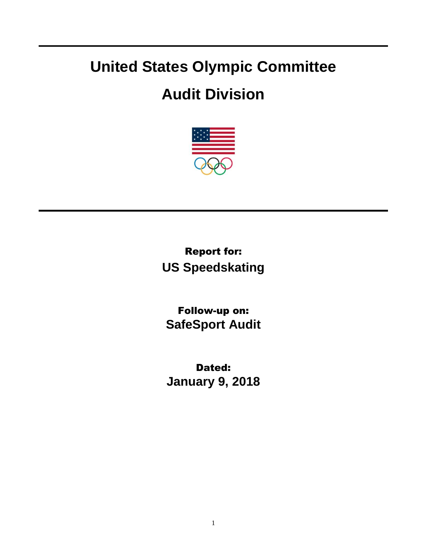## **United States Olympic Committee**

## **Audit Division**



Report for: **US Speedskating**

Follow-up on: **SafeSport Audit**

Dated: **January 9, 2018**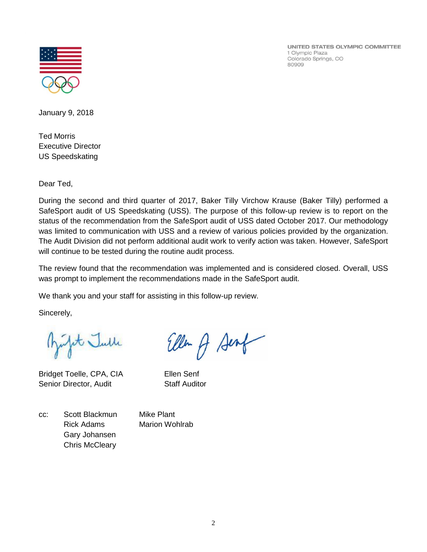

UNITED STATES OLYMPIC COMMITTEE 1 Olympic Plaza Colorado Springs, CO 80909

January 9, 2018

Ted Morris Executive Director US Speedskating

Dear Ted,

During the second and third quarter of 2017, Baker Tilly Virchow Krause (Baker Tilly) performed a SafeSport audit of US Speedskating (USS). The purpose of this follow-up review is to report on the status of the recommendation from the SafeSport audit of USS dated October 2017. Our methodology was limited to communication with USS and a review of various policies provided by the organization. The Audit Division did not perform additional audit work to verify action was taken. However, SafeSport will continue to be tested during the routine audit process.

The review found that the recommendation was implemented and is considered closed. Overall, USS was prompt to implement the recommendations made in the SafeSport audit.

We thank you and your staff for assisting in this follow-up review.

Sincerely,

fit Julle

Bridget Toelle, CPA, CIA Ellen Senf Senior Director, Audit Staff Auditor

Eller A Sent

cc: Scott Blackmun Mike Plant Rick Adams Marion Wohlrab Gary Johansen Chris McCleary